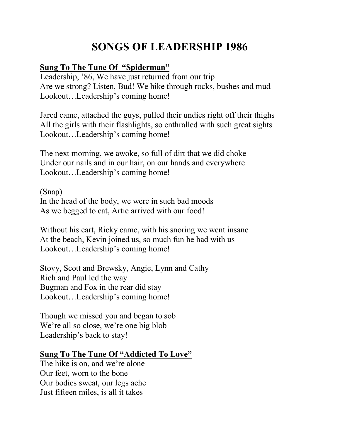# **SONGS OF LEADERSHIP 1986**

## **Sung To The Tune Of "Spiderman"**

Leadership, '86, We have just returned from our trip Are we strong? Listen, Bud! We hike through rocks, bushes and mud Lookout…Leadership's coming home!

Jared came, attached the guys, pulled their undies right off their thighs All the girls with their flashlights, so enthralled with such great sights Lookout…Leadership's coming home!

The next morning, we awoke, so full of dirt that we did choke Under our nails and in our hair, on our hands and everywhere Lookout…Leadership's coming home!

(Snap) In the head of the body, we were in such bad moods As we begged to eat, Artie arrived with our food!

Without his cart, Ricky came, with his snoring we went insane At the beach, Kevin joined us, so much fun he had with us Lookout…Leadership's coming home!

Stovy, Scott and Brewsky, Angie, Lynn and Cathy Rich and Paul led the way Bugman and Fox in the rear did stay Lookout…Leadership's coming home!

Though we missed you and began to sob We're all so close, we're one big blob Leadership's back to stay!

#### **Sung To The Tune Of "Addicted To Love"**

The hike is on, and we're alone Our feet, worn to the bone Our bodies sweat, our legs ache Just fifteen miles, is all it takes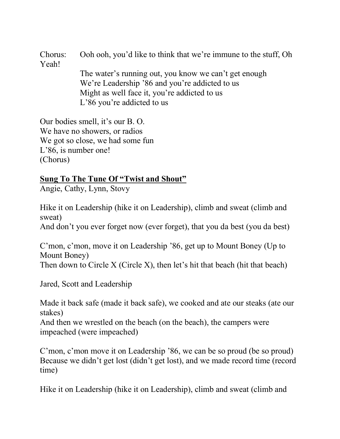Chorus: Ooh ooh, you'd like to think that we're immune to the stuff, Oh Yeah! The water's running out, you know we can't get enough We're Leadership '86 and you're addicted to us Might as well face it, you're addicted to us L'86 you're addicted to us

Our bodies smell, it's our B. O. We have no showers, or radios We got so close, we had some fun L'86, is number one! (Chorus)

## **Sung To The Tune Of "Twist and Shout"**

Angie, Cathy, Lynn, Stovy

Hike it on Leadership (hike it on Leadership), climb and sweat (climb and sweat) And don't you ever forget now (ever forget), that you da best (you da best)

C'mon, c'mon, move it on Leadership '86, get up to Mount Boney (Up to Mount Boney) Then down to Circle X (Circle X), then let's hit that beach (hit that beach)

Jared, Scott and Leadership

Made it back safe (made it back safe), we cooked and ate our steaks (ate our stakes)

And then we wrestled on the beach (on the beach), the campers were impeached (were impeached)

C'mon, c'mon move it on Leadership '86, we can be so proud (be so proud) Because we didn't get lost (didn't get lost), and we made record time (record time)

Hike it on Leadership (hike it on Leadership), climb and sweat (climb and